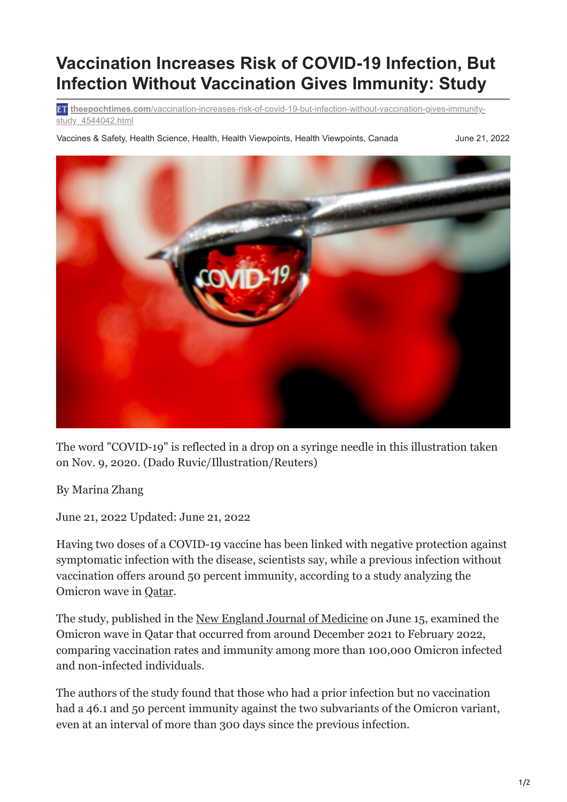## **Vaccination Increases Risk of COVID-19 Infection, But Infection Without Vaccination Gives Immunity: Study**

**theepochtimes.com**[/vaccination-increases-risk-of-covid-19-but-infection-without-vaccination-gives-immunity](https://www.theepochtimes.com/vaccination-increases-risk-of-covid-19-but-infection-without-vaccination-gives-immunity-study_4544042.html?utm_source=News&utm_campaign=breaking-2022-06-21-2&utm_medium=email&est=mQlGxz1DTdWSlVZuLxlwUaF0t1v9ZvE9Hr%252Ft3yHV8Sz7P8oqfmkVr5s2ems8tA%253D%253D)study 4544042.html

Vaccines & Safety, Health Science, Health, Health Viewpoints, Health Viewpoints, Canada June 21, 2022



The word "COVID-19" is reflected in a drop on a syringe needle in this illustration taken on Nov. 9, 2020. (Dado Ruvic/Illustration/Reuters)

By Marina Zhang

June 21, 2022 Updated: June 21, 2022

Having two doses of a COVID-19 vaccine has been linked with negative protection against symptomatic infection with the disease, scientists say, while a previous infection without vaccination offers around 50 percent immunity, according to a study analyzing the Omicron wave in [Qatar](https://www.theepochtimes.com/t-qatar).

The study, published in the <u>[New England Journal of Medicine](https://www.nejm.org/doi/full/10.1056/NEJMoa2203965?query=featured_home)</u> on June 15, examined the Omicron wave in Qatar that occurred from around December 2021 to February 2022, comparing vaccination rates and immunity among more than 100,000 Omicron infected and non-infected individuals.

The authors of the study found that those who had a prior infection but no vaccination had a 46.1 and 50 percent immunity against the two subvariants of the Omicron variant, even at an interval of more than 300 days since the previous infection.